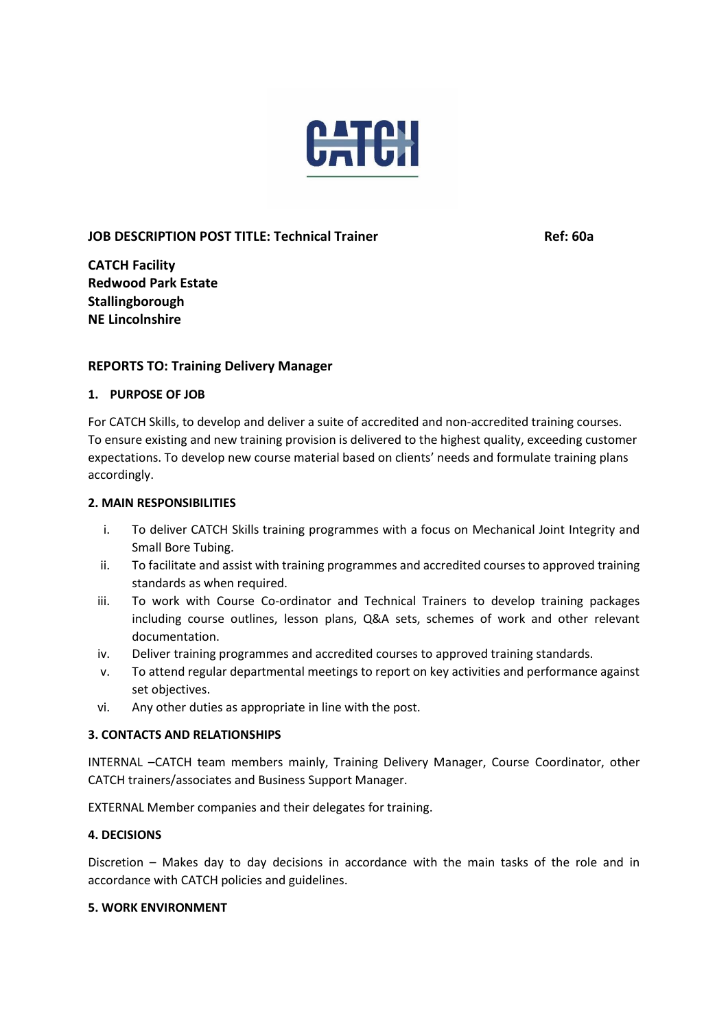

### **JOB DESCRIPTION POST TITLE: Technical Trainer Ref: 60a**

**CATCH Facility Redwood Park Estate Stallingborough NE Lincolnshire** 

### **REPORTS TO: Training Delivery Manager**

#### **1. PURPOSE OF JOB**

For CATCH Skills, to develop and deliver a suite of accredited and non-accredited training courses. To ensure existing and new training provision is delivered to the highest quality, exceeding customer expectations. To develop new course material based on clients' needs and formulate training plans accordingly.

#### **2. MAIN RESPONSIBILITIES**

- i. To deliver CATCH Skills training programmes with a focus on Mechanical Joint Integrity and Small Bore Tubing.
- ii. To facilitate and assist with training programmes and accredited courses to approved training standards as when required.
- iii. To work with Course Co-ordinator and Technical Trainers to develop training packages including course outlines, lesson plans, Q&A sets, schemes of work and other relevant documentation.
- iv. Deliver training programmes and accredited courses to approved training standards.
- v. To attend regular departmental meetings to report on key activities and performance against set objectives.
- vi. Any other duties as appropriate in line with the post.

#### **3. CONTACTS AND RELATIONSHIPS**

INTERNAL –CATCH team members mainly, Training Delivery Manager, Course Coordinator, other CATCH trainers/associates and Business Support Manager.

EXTERNAL Member companies and their delegates for training.

#### **4. DECISIONS**

Discretion – Makes day to day decisions in accordance with the main tasks of the role and in accordance with CATCH policies and guidelines.

#### **5. WORK ENVIRONMENT**